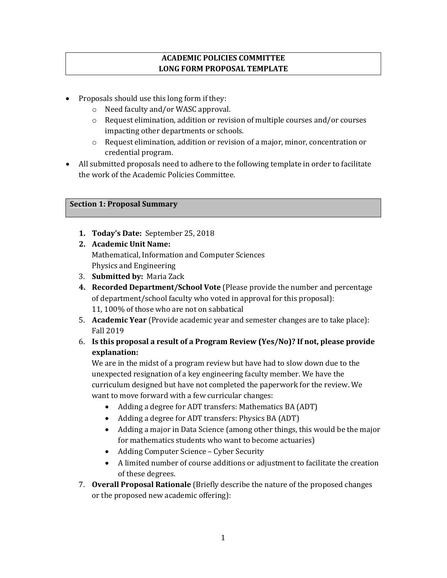# **ACADEMIC POLICIES COMMITTEE LONG FORM PROPOSAL TEMPLATE**

- Proposals should use this long form if they:
	- o Need faculty and/or WASC approval.
	- o Request elimination, addition or revision of multiple courses and/or courses impacting other departments or schools.
	- o Request elimination, addition or revision of a major, minor, concentration or credential program.
- All submitted proposals need to adhere to the following template in order to facilitate the work of the Academic Policies Committee.

# **Section 1: Proposal Summary**

- **1. Today's Date:** September 25, 2018
- **2. Academic Unit Name:**  Mathematical, Information and Computer Sciences Physics and Engineering
- 3. **Submitted by:** Maria Zack
- **4. Recorded Department/School Vote** (Please provide the number and percentage of department/school faculty who voted in approval for this proposal): 11, 100% of those who are not on sabbatical
- 5. **Academic Year** (Provide academic year and semester changes are to take place): Fall 2019
- 6. **Is this proposal a result of a Program Review (Yes/No)? If not, please provide explanation:**

We are in the midst of a program review but have had to slow down due to the unexpected resignation of a key engineering faculty member. We have the curriculum designed but have not completed the paperwork for the review. We want to move forward with a few curricular changes:

- Adding a degree for ADT transfers: Mathematics BA (ADT)
- Adding a degree for ADT transfers: Physics BA (ADT)
- Adding a major in Data Science (among other things, this would be the major for mathematics students who want to become actuaries)
- Adding Computer Science Cyber Security
- A limited number of course additions or adjustment to facilitate the creation of these degrees.
- 7. **Overall Proposal Rationale** (Briefly describe the nature of the proposed changes or the proposed new academic offering):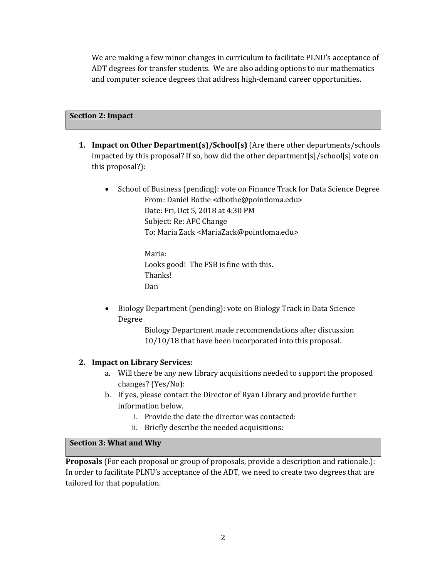We are making a few minor changes in curriculum to facilitate PLNU's acceptance of ADT degrees for transfer students. We are also adding options to our mathematics and computer science degrees that address high-demand career opportunities.

#### **Section 2: Impact**

- **1. Impact on Other Department(s)/School(s)** (Are there other departments/schools impacted by this proposal? If so, how did the other department[s]/school[s] vote on this proposal?):
	- School of Business (pending): vote on Finance Track for Data Science Degree From: Daniel Bothe <dbothe@pointloma.edu> Date: Fri, Oct 5, 2018 at 4:30 PM Subject: Re: APC Change To: Maria Zack <MariaZack@pointloma.edu>

Maria: Looks good! The FSB is fine with this. Thanks! Dan

• Biology Department (pending): vote on Biology Track in Data Science Degree

> Biology Department made recommendations after discussion 10/10/18 that have been incorporated into this proposal.

### **2. Impact on Library Services:**

- a. Will there be any new library acquisitions needed to support the proposed changes? (Yes/No):
- b. If yes, please contact the Director of Ryan Library and provide further information below.
	- i. Provide the date the director was contacted:
	- ii. Briefly describe the needed acquisitions:

## **Section 3: What and Why**

**Proposals** (For each proposal or group of proposals, provide a description and rationale.): In order to facilitate PLNU's acceptance of the ADT, we need to create two degrees that are tailored for that population.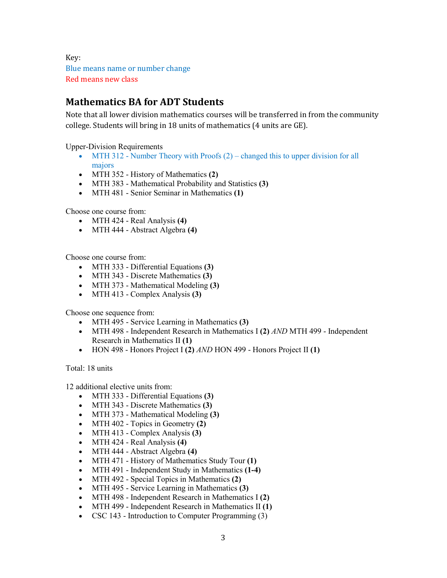Key: Blue means name or number change Red means new class

# **Mathematics BA for ADT Students**

Note that all lower division mathematics courses will be transferred in from the community college. Students will bring in 18 units of mathematics (4 units are GE).

Upper-Division Requirements

- MTH 312 Number Theory with Proofs  $(2)$  changed this to upper division for all majors
- MTH 352 History of Mathematics **(2)**
- MTH 383 Mathematical Probability and Statistics **(3)**
- MTH 481 Senior Seminar in Mathematics **(1)**

Choose one course from:

- MTH 424 Real Analysis **(4)**
- MTH 444 Abstract Algebra **(4)**

Choose one course from:

- MTH 333 Differential Equations **(3)**
- MTH 343 Discrete Mathematics **(3)**
- MTH 373 Mathematical Modeling **(3)**
- MTH 413 Complex Analysis **(3)**

Choose one sequence from:

- MTH 495 Service Learning in Mathematics **(3)**
- MTH 498 Independent Research in Mathematics I **(2)** *AND* MTH 499 Independent Research in Mathematics II **(1)**
- HON 498 Honors Project I **(2)** *AND* HON 499 Honors Project II **(1)**

Total: 18 units

12 additional elective units from:

- MTH 333 Differential Equations **(3)**
- MTH 343 Discrete Mathematics **(3)**
- MTH 373 Mathematical Modeling **(3)**
- MTH 402 Topics in Geometry **(2)**
- MTH 413 Complex Analysis **(3)**
- MTH 424 Real Analysis **(4)**
- MTH 444 Abstract Algebra **(4)**
- MTH 471 History of Mathematics Study Tour **(1)**
- MTH 491 Independent Study in Mathematics **(1-4)**
- MTH 492 Special Topics in Mathematics **(2)**
- MTH 495 Service Learning in Mathematics **(3)**
- MTH 498 Independent Research in Mathematics I **(2)**
- MTH 499 Independent Research in Mathematics II **(1)**
- CSC 143 Introduction to Computer Programming (3)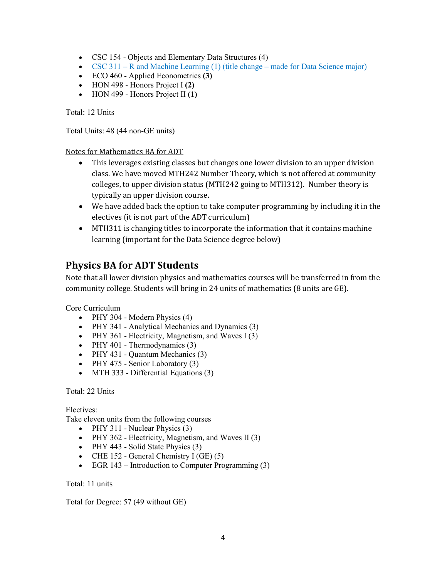- CSC 154 Objects and Elementary Data Structures (4)
- CSC 311 R and Machine Learning  $(1)$  (title change made for Data Science major)
- ECO 460 Applied Econometrics **(3)**
- HON 498 Honors Project I **(2)**
- HON 499 Honors Project II **(1)**

Total: 12 Units

Total Units: 48 (44 non-GE units)

#### Notes for Mathematics BA for ADT

- This leverages existing classes but changes one lower division to an upper division class. We have moved MTH242 Number Theory, which is not offered at community colleges, to upper division status (MTH242 going to MTH312). Number theory is typically an upper division course.
- We have added back the option to take computer programming by including it in the electives (it is not part of the ADT curriculum)
- MTH311 is changing titles to incorporate the information that it contains machine learning (important for the Data Science degree below)

# **Physics BA for ADT Students**

Note that all lower division physics and mathematics courses will be transferred in from the community college. Students will bring in 24 units of mathematics (8 units are GE).

Core Curriculum

- PHY 304 Modern Physics (4)
- PHY 341 Analytical Mechanics and Dynamics (3)
- PHY 361 Electricity, Magnetism, and Waves I (3)
- PHY 401 Thermodynamics  $(3)$
- PHY 431 Quantum Mechanics (3)
- PHY 475 Senior Laboratory (3)
- MTH 333 Differential Equations (3)

Total: 22 Units

Electives:

Take eleven units from the following courses

- PHY 311 Nuclear Physics  $(3)$
- PHY 362 Electricity, Magnetism, and Waves II (3)
- PHY 443 Solid State Physics (3)
- CHE 152 General Chemistry I (GE)  $(5)$
- EGR 143 Introduction to Computer Programming (3)

Total: 11 units

Total for Degree: 57 (49 without GE)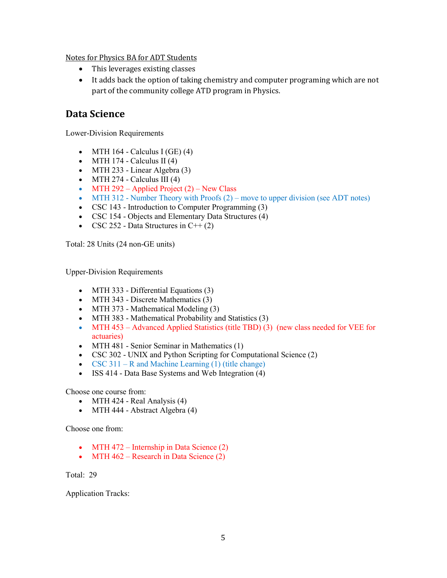Notes for Physics BA for ADT Students

- This leverages existing classes
- It adds back the option of taking chemistry and computer programing which are not part of the community college ATD program in Physics.

# **Data Science**

Lower-Division Requirements

- MTH 164 Calculus I (GE)  $(4)$
- MTH 174 Calculus II  $(4)$
- MTH 233 Linear Algebra (3)
- MTH 274 Calculus III  $(4)$
- MTH 292 Applied Project  $(2)$  New Class
- MTH 312 Number Theory with Proofs  $(2)$  move to upper division (see ADT notes)
- CSC 143 Introduction to Computer Programming (3)
- CSC 154 Objects and Elementary Data Structures (4)
- CSC 252 Data Structures in  $C++ (2)$

Total: 28 Units (24 non-GE units)

Upper-Division Requirements

- MTH 333 Differential Equations (3)
- MTH 343 Discrete Mathematics (3)
- MTH 373 Mathematical Modeling (3)
- MTH 383 Mathematical Probability and Statistics (3)
- MTH 453 Advanced Applied Statistics (title TBD) (3) (new class needed for VEE for actuaries)
- MTH 481 Senior Seminar in Mathematics (1)
- CSC 302 UNIX and Python Scripting for Computational Science (2)
- CSC 311 R and Machine Learning  $(1)$  (title change)
- ISS 414 Data Base Systems and Web Integration (4)

Choose one course from:

- MTH 424 Real Analysis (4)
- MTH 444 Abstract Algebra (4)

Choose one from:

- MTH  $472$  Internship in Data Science  $(2)$
- MTH  $462$  Research in Data Science  $(2)$

Total: 29

Application Tracks: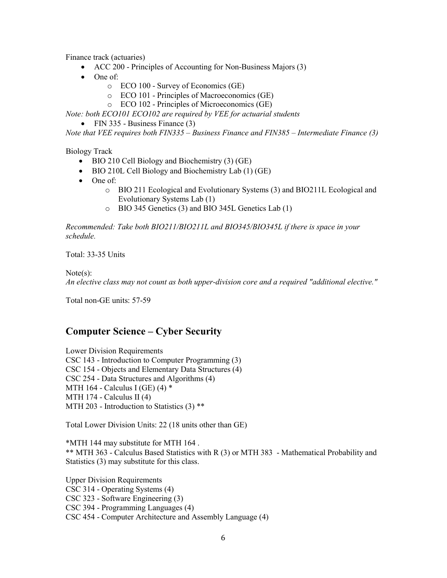Finance track (actuaries)

- ACC 200 Principles of Accounting for Non-Business Majors (3)
- One of:
	- o ECO 100 Survey of Economics (GE)
	- o ECO 101 Principles of Macroeconomics (GE)
	- o ECO 102 Principles of Microeconomics (GE)

*Note: both ECO101 ECO102 are required by VEE for actuarial students*

• FIN 335 - Business Finance (3)

*Note that VEE requires both FIN335 – Business Finance and FIN385 – Intermediate Finance (3)*

Biology Track

- BIO 210 Cell Biology and Biochemistry (3) (GE)
- BIO 210L Cell Biology and Biochemistry Lab (1) (GE)
- One of:
	- o BIO 211 Ecological and Evolutionary Systems (3) and BIO211L Ecological and Evolutionary Systems Lab (1)
	- o BIO 345 Genetics (3) and BIO 345L Genetics Lab (1)

*Recommended: Take both BIO211/BIO211L and BIO345/BIO345L if there is space in your schedule.*

Total: 33-35 Units

#### Note(s):

*An elective class may not count as both upper-division core and a required "additional elective."*

Total non-GE units: 57-59

# **Computer Science – Cyber Security**

Lower Division Requirements CSC 143 - Introduction to Computer Programming (3) CSC 154 - Objects and Elementary Data Structures (4) CSC 254 - Data Structures and Algorithms (4) MTH 164 - Calculus I (GE)  $(4)$  \* MTH 174 - Calculus II (4) MTH 203 - Introduction to Statistics (3) \*\*

Total Lower Division Units: 22 (18 units other than GE)

\*MTH 144 may substitute for MTH 164 . \*\* MTH 363 - Calculus Based Statistics with R (3) or MTH 383 - Mathematical Probability and Statistics (3) may substitute for this class.

Upper Division Requirements CSC 314 - Operating Systems (4) CSC 323 - Software Engineering (3) CSC 394 - Programming Languages (4) CSC 454 - Computer Architecture and Assembly Language (4)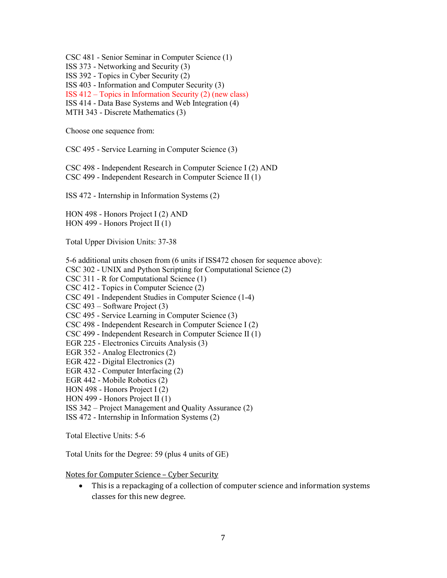CSC 481 - Senior Seminar in Computer Science (1)

ISS 373 - Networking and Security (3)

ISS 392 - Topics in Cyber Security (2)

ISS 403 - Information and Computer Security (3)

ISS 412 – Topics in Information Security (2) (new class)

ISS 414 - Data Base Systems and Web Integration (4)

MTH 343 - Discrete Mathematics (3)

Choose one sequence from:

CSC 495 - Service Learning in Computer Science (3)

CSC 498 - Independent Research in Computer Science I (2) AND CSC 499 - Independent Research in Computer Science II (1)

ISS 472 - Internship in Information Systems (2)

HON 498 - Honors Project I (2) AND HON 499 - Honors Project II (1)

Total Upper Division Units: 37-38

5-6 additional units chosen from (6 units if ISS472 chosen for sequence above):

CSC 302 - UNIX and Python Scripting for Computational Science (2)

CSC 311 - R for Computational Science (1)

CSC 412 - Topics in Computer Science (2)

CSC 491 - Independent Studies in Computer Science (1-4)

CSC 493 – Software Project (3)

CSC 495 - Service Learning in Computer Science (3)

CSC 498 - Independent Research in Computer Science I (2)

CSC 499 - Independent Research in Computer Science II (1)

EGR 225 - Electronics Circuits Analysis (3)

EGR 352 - Analog Electronics (2)

EGR 422 - Digital Electronics (2)

EGR 432 - Computer Interfacing (2)

EGR 442 - Mobile Robotics (2)

HON 498 - Honors Project I (2)

HON 499 - Honors Project II (1)

ISS 342 – Project Management and Quality Assurance (2)

ISS 472 - Internship in Information Systems (2)

Total Elective Units: 5-6

Total Units for the Degree: 59 (plus 4 units of GE)

Notes for Computer Science – Cyber Security

• This is a repackaging of a collection of computer science and information systems classes for this new degree.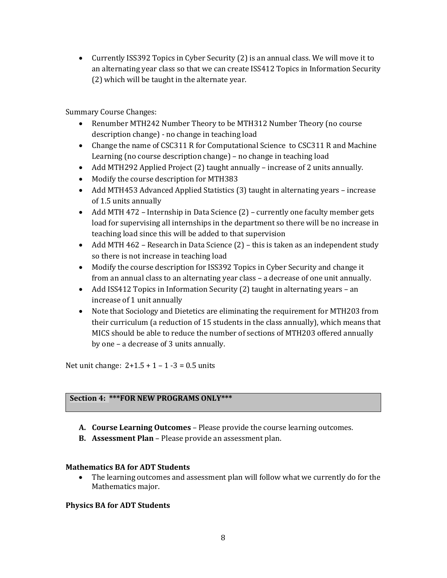• Currently ISS392 Topics in Cyber Security (2) is an annual class. We will move it to an alternating year class so that we can create ISS412 Topics in Information Security (2) which will be taught in the alternate year.

Summary Course Changes:

- Renumber MTH242 Number Theory to be MTH312 Number Theory (no course description change) - no change in teaching load
- Change the name of CSC311 R for Computational Science to CSC311 R and Machine Learning (no course description change) – no change in teaching load
- Add MTH292 Applied Project (2) taught annually increase of 2 units annually.
- Modify the course description for MTH383
- Add MTH453 Advanced Applied Statistics (3) taught in alternating years increase of 1.5 units annually
- Add MTH 472 Internship in Data Science (2) currently one faculty member gets load for supervising all internships in the department so there will be no increase in teaching load since this will be added to that supervision
- Add MTH 462 Research in Data Science (2) this is taken as an independent study so there is not increase in teaching load
- Modify the course description for ISS392 Topics in Cyber Security and change it from an annual class to an alternating year class – a decrease of one unit annually.
- Add ISS412 Topics in Information Security (2) taught in alternating years an increase of 1 unit annually
- Note that Sociology and Dietetics are eliminating the requirement for MTH203 from their curriculum (a reduction of 15 students in the class annually), which means that MICS should be able to reduce the number of sections of MTH203 offered annually by one – a decrease of 3 units annually.

Net unit change:  $2+1.5 + 1 - 1 - 3 = 0.5$  units

#### **Section 4: \*\*\*FOR NEW PROGRAMS ONLY\*\*\***

- **A. Course Learning Outcomes** Please provide the course learning outcomes.
- **B. Assessment Plan** Please provide an assessment plan.

#### **Mathematics BA for ADT Students**

• The learning outcomes and assessment plan will follow what we currently do for the Mathematics major.

#### **Physics BA for ADT Students**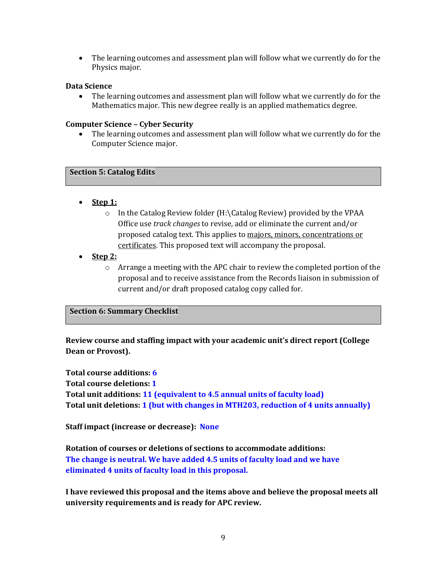• The learning outcomes and assessment plan will follow what we currently do for the Physics major.

#### **Data Science**

• The learning outcomes and assessment plan will follow what we currently do for the Mathematics major. This new degree really is an applied mathematics degree.

#### **Computer Science – Cyber Security**

• The learning outcomes and assessment plan will follow what we currently do for the Computer Science major.

#### **Section 5: Catalog Edits**

- **Step 1:**
	- o In the Catalog Review folder (H:\Catalog Review) provided by the VPAA Office use *track changes* to revise, add or eliminate the current and/or proposed catalog text. This applies to majors, minors, concentrations or certificates. This proposed text will accompany the proposal.
- **Step 2:**
	- $\circ$  Arrange a meeting with the APC chair to review the completed portion of the proposal and to receive assistance from the Records liaison in submission of current and/or draft proposed catalog copy called for.

### **Section 6: Summary Checklist**

**Review course and staffing impact with your academic unit's direct report (College Dean or Provost).**

**Total course additions: 6 Total course deletions: 1 Total unit additions: 11 (equivalent to 4.5 annual units of faculty load) Total unit deletions: 1 (but with changes in MTH203, reduction of 4 units annually)**

**Staff impact (increase or decrease): None**

**Rotation of courses or deletions of sections to accommodate additions: The change is neutral. We have added 4.5 units of faculty load and we have eliminated 4 units of faculty load in this proposal.**

**I have reviewed this proposal and the items above and believe the proposal meets all university requirements and is ready for APC review.**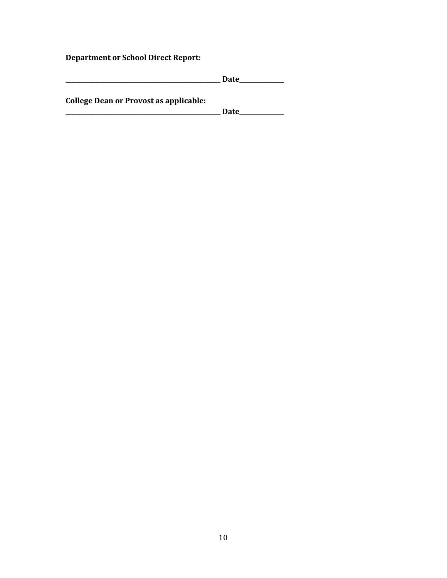**Department or School Direct Report:**

|                                               | <b>Date</b> |
|-----------------------------------------------|-------------|
|                                               |             |
| <b>College Dean or Provost as applicable:</b> |             |
|                                               | <b>Date</b> |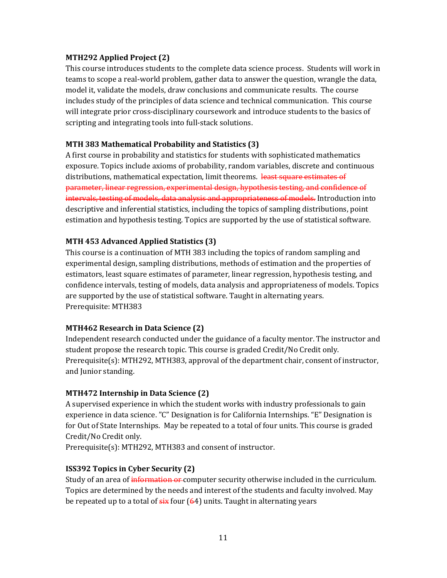## **MTH292 Applied Project (2)**

This course introduces students to the complete data science process. Students will work in teams to scope a real-world problem, gather data to answer the question, wrangle the data, model it, validate the models, draw conclusions and communicate results. The course includes study of the principles of data science and technical communication. This course will integrate prior cross-disciplinary coursework and introduce students to the basics of scripting and integrating tools into full-stack solutions.

## **MTH 383 Mathematical Probability and Statistics (3)**

A first course in probability and statistics for students with sophisticated mathematics exposure. Topics include axioms of probability, random variables, discrete and continuous distributions, mathematical expectation, limit theorems. least square estimates of parameter, linear regression, experimental design, hypothesis testing, and confidence of intervals, testing of models, data analysis and appropriateness of models. Introduction into descriptive and inferential statistics, including the topics of sampling distributions, point estimation and hypothesis testing. Topics are supported by the use of statistical software.

## **MTH 453 Advanced Applied Statistics (3)**

This course is a continuation of MTH 383 including the topics of random sampling and experimental design, sampling distributions, methods of estimation and the properties of estimators, least square estimates of parameter, linear regression, hypothesis testing, and confidence intervals, testing of models, data analysis and appropriateness of models. Topics are supported by the use of statistical software. Taught in alternating years. Prerequisite: MTH383

### **MTH462 Research in Data Science (2)**

Independent research conducted under the guidance of a faculty mentor. The instructor and student propose the research topic. This course is graded Credit/No Credit only. Prerequisite(s): MTH292, MTH383, approval of the department chair, consent of instructor, and Junior standing.

### **MTH472 Internship in Data Science (2)**

A supervised experience in which the student works with industry professionals to gain experience in data science. "C" Designation is for California Internships. "E" Designation is for Out of State Internships. May be repeated to a total of four units. This course is graded Credit/No Credit only.

Prerequisite(s): MTH292, MTH383 and consent of instructor.

# **ISS392 Topics in Cyber Security (2)**

Study of an area of information or computer security otherwise included in the curriculum. Topics are determined by the needs and interest of the students and faculty involved. May be repeated up to a total of  $six$  four  $(64)$  units. Taught in alternating years